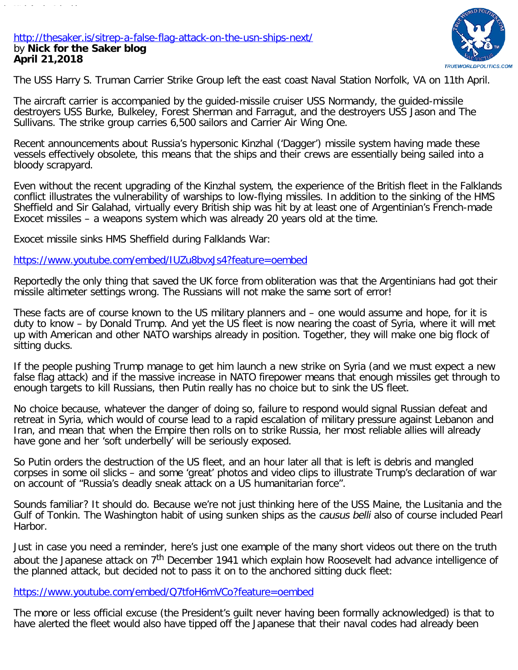## <http://thesaker.is/sitrep-a-false-flag-attack-on-the-usn-ships-next/> by **Nick for the Saker blog April 21,2018**



The USS Harry S. Truman Carrier Strike Group left the east coast Naval Station Norfolk, VA on 11th April.

The aircraft carrier is accompanied by the guided-missile cruiser USS Normandy, the guided-missile destroyers USS Burke, Bulkeley, Forest Sherman and Farragut, and the destroyers USS Jason and The Sullivans. The strike group carries 6,500 sailors and Carrier Air Wing One.

Recent announcements about Russia's hypersonic Kinzhal ('Dagger') missile system having made these vessels effectively obsolete, this means that the ships and their crews are essentially being sailed into a bloody scrapyard.

Even without the recent upgrading of the Kinzhal system, the experience of the British fleet in the Falklands conflict illustrates the vulnerability of warships to low-flying missiles. In addition to the sinking of the HMS Sheffield and Sir Galahad, virtually every British ship was hit by at least one of Argentinian's French-made Exocet missiles – a weapons system which was already 20 years old at the time.

Exocet missile sinks HMS Sheffield during Falklands War:

<https://www.youtube.com/embed/IUZu8bvxJs4?feature=oembed>

Reportedly the only thing that saved the UK force from obliteration was that the Argentinians had got their missile altimeter settings wrong. The Russians will not make the same sort of error!

These facts are of course known to the US military planners and – one would assume and hope, for it is duty to know – by Donald Trump. And yet the US fleet is now nearing the coast of Syria, where it will met up with American and other NATO warships already in position. Together, they will make one big flock of sitting ducks.

If the people pushing Trump manage to get him launch a new strike on Syria (and we must expect a new false flag attack) and if the massive increase in NATO firepower means that enough missiles get through to enough targets to kill Russians, then Putin really has no choice but to sink the US fleet.

No choice because, whatever the danger of doing so, failure to respond would signal Russian defeat and retreat in Syria, which would of course lead to a rapid escalation of military pressure against Lebanon and Iran, and mean that when the Empire then rolls on to strike Russia, her most reliable allies will already have gone and her 'soft underbelly' will be seriously exposed.

So Putin orders the destruction of the US fleet, and an hour later all that is left is debris and mangled corpses in some oil slicks – and some 'great' photos and video clips to illustrate Trump's declaration of war on account of "Russia's deadly sneak attack on a US humanitarian force".

Sounds familiar? It should do. Because we're not just thinking here of the USS Maine, the Lusitania and the Gulf of Tonkin. The Washington habit of using sunken ships as the *causus belli* also of course included Pearl Harbor.

Just in case you need a reminder, here's just one example of the many short videos out there on the truth about the Japanese attack on 7<sup>th</sup> December 1941 which explain how Roosevelt had advance intelligence of the planned attack, but decided not to pass it on to the anchored sitting duck fleet:

<https://www.youtube.com/embed/Q7tfoH6mVCo?feature=oembed>

The more or less official excuse (the President's guilt never having been formally acknowledged) is that to have alerted the fleet would also have tipped off the Japanese that their naval codes had already been